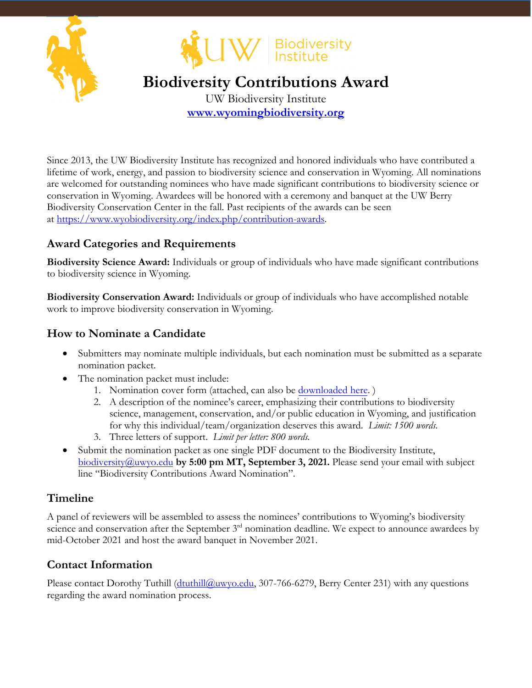



## **Biodiversity Contributions Award**

UW Biodiversity Institute **www.wyomingbiodiversity.org**

Since 2013, the UW Biodiversity Institute has recognized and honored individuals who have contributed a lifetime of work, energy, and passion to biodiversity science and conservation in Wyoming. All nominations are welcomed for outstanding nominees who have made significant contributions to biodiversity science or conservation in Wyoming. Awardees will be honored with a ceremony and banquet at the UW Berry Biodiversity Conservation Center in the fall. Past recipients of the awards can be seen at https://www.wyobiodiversity.org/index.php/contribution-awards.

#### **Award Categories and Requirements**

**Biodiversity Science Award:** Individuals or group of individuals who have made significant contributions to biodiversity science in Wyoming.

**Biodiversity Conservation Award:** Individuals or group of individuals who have accomplished notable work to improve biodiversity conservation in Wyoming.

#### **How to Nominate a Candidate**

- Submitters may nominate multiple individuals, but each nomination must be submitted as a separate nomination packet.
- The nomination packet must include:
	- 1. Nomination cover form (attached, can also be [downloaded here](https://www.wyobiodiversity.org/application/files/6616/2619/5455/2021BiodContributionsCallFinal.pdf). )
	- 2. A description of the nominee's career, emphasizing their contributions to biodiversity science, management, conservation, and/or public education in Wyoming, and justification for why this individual/team/organization deserves this award. *Limit: 1500 words.*
	- 3. Three letters of support. *Limit per letter: 800 words.*
- Submit the nomination packet as one single PDF document to the Biodiversity Institute, biodiversity@uwyo.edu **by 5:00 pm MT, September 3, 2021.** Please send your email with subject line "Biodiversity Contributions Award Nomination".

#### **Timeline**

A panel of reviewers will be assembled to assess the nominees' contributions to Wyoming's biodiversity science and conservation after the September 3<sup>rd</sup> nomination deadline. We expect to announce awardees by mid-October 2021 and host the award banquet in November 2021.

### **Contact Information**

Please contact Dorothy Tuthill (dtuthill@uwyo.edu, 307-766-6279, Berry Center 231) with any questions regarding the award nomination process.